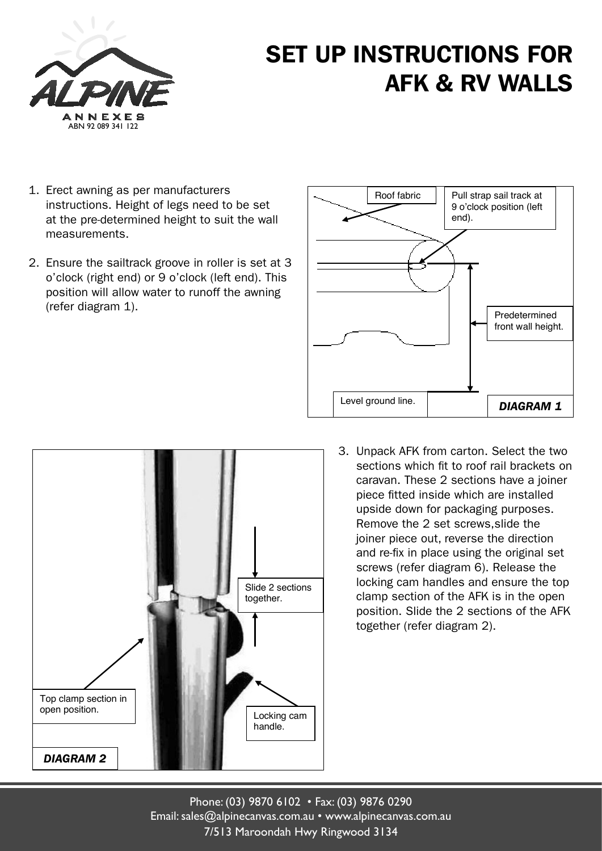

## SET UP INSTRUCTIONS FOR AFK & RV WALLS

- 1. Erect awning as per manufacturers instructions. Height of legs need to be set at the pre-determined height to suit the wall measurements.
- 2. Ensure the sailtrack groove in roller is set at 3 o'clock (right end) or 9 o'clock (left end). This position will allow water to runoff the awning (refer diagram 1).





3. Unpack AFK from carton. Select the two sections which fit to roof rail brackets on caravan. These 2 sections have a joiner piece fitted inside which are installed upside down for packaging purposes. Remove the 2 set screws,slide the joiner piece out, reverse the direction and re-fix in place using the original set screws (refer diagram 6). Release the locking cam handles and ensure the top clamp section of the AFK is in the open position. Slide the 2 sections of the AFK together (refer diagram 2).